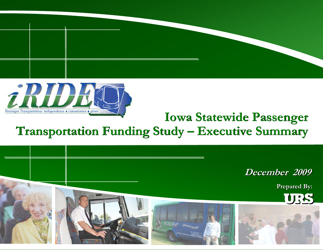



# **Iowa Statewide Passenger Transportation Funding Study – Executive Summary Iowa Statewide PassengerTransportation Funding Study – Executive Summary**

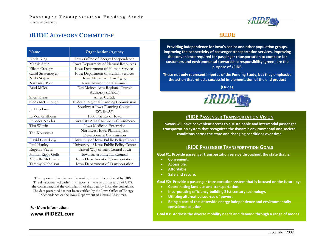# **IRIDEADVISORY COMMITTEE**

| Name               | <b>Organization/Agency</b>              |  |  |  |
|--------------------|-----------------------------------------|--|--|--|
| Linda King         | Iowa Office of Energy Independence      |  |  |  |
| Marnie Stein       | Iowa Department of Natural Resources    |  |  |  |
| Eileen Creager     | Iowa Department of Human Services       |  |  |  |
| Carol Stratemeyer  | Iowa Department of Human Services       |  |  |  |
| Nicki Stajcar      | Iowa Department on Aging                |  |  |  |
| Nathanial Baer     | Iowa Environmental Council              |  |  |  |
| <b>Brad Miller</b> | Des Moines Area Regional Transit        |  |  |  |
|                    | Authority (DART)                        |  |  |  |
| Sheri Kyras        | Ames-CyRide                             |  |  |  |
| Gena McCullough    | Bi-State Regional Planning Commission   |  |  |  |
|                    | Southwest Iowa Planning Council         |  |  |  |
| Jeff Beckner       | (SWIPCO)                                |  |  |  |
| LaVon Griffieon    | 1000 Friends of Iowa                    |  |  |  |
| Rebecca Neades     | Iowa City Area Chamber of Commerce      |  |  |  |
| Tim Wiltsin        | Iowa Medicaid Enterprise                |  |  |  |
| Ted Kourousis      | Northwest Iowa Planning and             |  |  |  |
|                    | Development Commission                  |  |  |  |
| David Osterberg    | University of Iowa Public Policy Center |  |  |  |
| Paul Hanley        | University of Iowa Public Policy Center |  |  |  |
| Eugenia Vavra      | United Way of East Central Iowa         |  |  |  |
| Marian Riggs Gelb  | <b>Iowa Environmental Council</b>       |  |  |  |
| Michelle McEnany   | Iowa Department of Transportation       |  |  |  |
| Tammy Nicholson    | Iowa Department of Transportation       |  |  |  |

This report and its data are the result of research conducted by URS. The data contained within this report is the result of research of URS, the consultant, and the compilation of that data by URS, the consultant. The data presented has not been verified by the Iowa Office of Energy Independence or the Iowa Department of Natural Resources.

## **For More Information: www.iRIDE21.com**

# *i***RIDE**

**Providing independence for Iowa's senior and other population groups, improving the connectivity of passenger transportation services, improving the convenience required for passenger transportation to compete for customers and environmental stewardship responsibility (green) are the purpose of** *i***RIDE.**

**These not only represent impetus of the Funding Study, but they emphasize the action that reflects successful implementation of the end product**

**(I Ride).**



## **IRIDEPASSENGERTRANSPORTATIONVISION**

**Iowans will have convenient access to <sup>a</sup> sustainable and intermodal passenger transportation system that recognizes the dynamic environmental and societal conditions across the state and changing conditions over time.**

## **IRIDE PASSENGER TRANSPORTATION GOALS**

**Goal #1: Provide passenger transportation service throughout the state that is:**

- •**Convenient.**
- •**Accessible.**
- •**Affordable.**
- •**Safe and secure.**

**Goal #2: Provide <sup>a</sup> passenger transportation system that is focused on the future by:**

- **Coordinating land use and transportation.**
- **Incorporating efficiency‐building 21st century technology.**
- **Utilizing alternative sources of power.**
- **Being <sup>a</sup> part of the statewide energy independence and environmentally conscience solution.**

**Goal #3: Address the diverse mobility needs and demand through <sup>a</sup> range of modes.**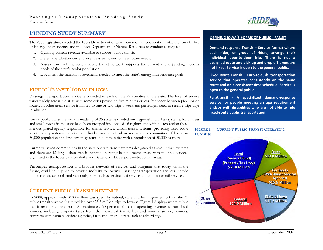*Executive Summary* 



# **FUNDING STUDY SUMMARY**

The 2008 legislature directed the Iowa Department of Transportation, in cooperation with, the Iowa Office of Energy Independence and the Iowa Department of Natural Resources to conduct a study to:

- 1.Quantify current revenue available to support public transit.
- 2.Determine whether current revenue is sufficient to meet future needs.
- 3. Assess how well the state's public transit network supports the current and expanding mobility needs of the state's senior population.
- 4. Document the transit improvements needed to meet the state's energy independence goals.

# **PUBLIC TRANSIT TODAY IN IOWA**

Passenger transportation service is provided in each of the 99 counties in the state. The level of service varies widely across the state with some cities providing five minutes or less frequency between pick ups on routes. In other areas service is limited to one or two trips a week and passengers need to reserve trips days in advance.

Iowa's public transit network is made up of 35 systems divided into regional and urban systems. Rural areas and small towns in the state have been grouped into one of 16 regions and within each region there is a designated agency responsible for transit service. Urban transit systems, providing fixed route service and paratransit service, are divided into small urban systems in communities of less than 50,000 population and large urban systems in communities with a population of 50,000 or more.

Currently, seven communities in the state operate transit systems designated as small urban systems and there are 12 large urban transit systems operating in nine metro areas, with multiple services organized in the Iowa City-Coralville and Bettendorf-Davenport metropolitan areas.

**Passenger transportation** is a broader network of services and programs that today, or in the future, could be in place to provide mobility to Iowans. Passenger transportation services include public transit, carpools and vanpools, intercity bus service, taxi service and commuter rail services.

# **CURRENT PUBLIC TRANSIT REVENUE**

In 2008, approximately \$100 million was spent by federal, state and local agencies to fund the 35 public transit systems that provided over 25.5 million trips to Iowans. Figure 1 displays where public transit revenue comes from. Approximately 60 percent of transit operating revenue is from local sources, including property taxes from the municipal transit levy and non-transit levy sources, contracts with human services agencies, fares and other sources such as advertising.

## **DEFINING IOWA'S FORMS OF PUBLIC TRANSIT**

**Demand‐response Transit – Service format where each rider, or group of riders, arrange their individual door‐to‐door trip. There is not <sup>a</sup> designed route and pick‐up and drop off times are not fixed. Service is open to the general public.**

**Fixed Route Transit – Curb‐to‐curb transportation service that operates consistently on the same route and on <sup>a</sup> consistent time schedule. Service is open to the general public.**

**Paratransit ‐ A specialized demand‐response service for people meeting an age requirement and/or with disabilities who are not able to ride fixed‐route public transportation.**



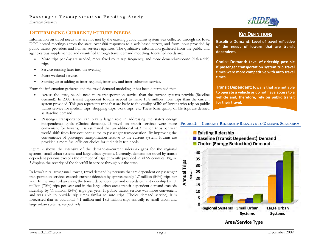# **DETERMINING CURRENT/FUTURE NEEDS**

Information on travel needs that are not met by the existing public transit system was collected through six Iowa DOT hosted meetings across the state, over 800 responses to a web-based survey, and from input provided by public transit providers and human services agencies. The qualitative information gathered from the public and agencies was supplemented and quantified through travel demand modeling. Identified needs are:

- • More trips per day are needed, more fixed route trip frequency, and more demand-response (dial-a-ride) trips.
- •Service running later into the evening.
- •More weekend service.
- •Starting up or adding to inter-regional, inter-city and inter-suburban service.

From the information gathered and the travel demand modeling, it has been determined that:

- • Across the state, people need more transportation service than the current systems provide (Baseline demand). In 2008, transit dependent Iowans needed to make 13.8 million more trips than the current system provided. This gap represents trips that are basic to the quality of life of Iowans who rely on public transit service for medical trips, shopping trips, work trips, etc. These basic quality of life trips are defined as Baseline demand.
- • Passenger transportation can play a larger role in addressing the state's energy independence goals (Choice demand). If travel on transit services were more convenient for Iowans, it is estimated that an additional 24.3 million trips per year would shift from low-occupant autos to passenger transportation. By improving the convenience of passenger transportation relative to the current system, Iowans are provided a more fuel efficient choice for their daily trip needs.

Figure 2 shows the intensity of the demand-to-current ridership gaps for the regional systems, small urban systems and large urban systems. Currently, demand for travel by transit dependent persons exceeds the number of trips currently provided in all 99 counties. Figure 3 displays the severity of the shortfall in service throughout the state.

In Iowa's rural areas/small towns, travel demand by persons that are dependent on passenger transportation services exceeds current ridership by approximately 1.7 million (54%) trips per year. In the small urban areas, the transit dependent demand exceeds current ridership by 1.1 million (70%) trips per year and in the large urban areas transit dependent demand exceeds ridership by 11 million (54%) trips per year. If public transit service was more convenient and was able to provide trip times similar to auto trips (Choice demand service), it is forecasted that an additional 4.1 million and 18.5 million trips annually to small urban and large urban systems, respectively.



## **KEYDEFINITIONS**

**Baseline Demand: Level of travel reflective of the needs of Iowans that are transit dependent.**

**Choice Demand: Level of ridership possible if passenger transportation system trip travel times were more competitive with auto travel times.**

**Transit Dependent: Iowans that are not able to operate <sup>a</sup> vehicle or do not have access to <sup>a</sup> vehicle and, therefore, rely on public transit for their travel.**

## **FIGURE 2: CURRENT RIDERSHIP RELATIVE TO DEMAND SCENARIOS**



## **Area/Service Type**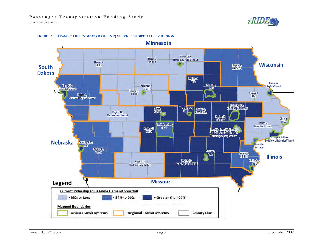

#### **FIGURE 3: TRANSIT DEPENDENT (BASELINE) SERVICE SHORTFALLS BY REGION**

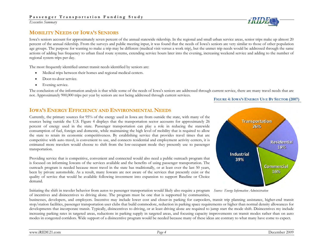*Executive Summary* 

# **MOBILITY NEEDS OF IOWA'S SENIORS**

Iowa's seniors account for approximately seven percent of the annual statewide ridership. In the regional and small urban service areas, senior trips make up almost 20 percent of the annual ridership. From the surveys and public meeting input, it was found that the needs of Iowa's seniors are very similar to those of other population age groups. The purpose for wanting to make a trip may be different (medical visit versus a work trip), but the unmet trip needs would be addressed through the same actions of adding bus frequency to urban fixed route systems, extending service hours later into the evening, increasing weekend service and adding to the number of regional system trips per day.

The most frequently identified unmet transit needs identified by seniors are:

- $\bullet$ Medical trips between their homes and regional medical centers.
- •Door-to-door service.
- •Evening service.

The conclusion of the information analysis is that while some of the needs of Iowa's seniors are addressed through current service, there are many travel needs that are not. Approximately 900,000 trips per year by seniors are not being addressed through current services.

#### **FIGURE 4:IOWA'S ENERGY US E BY SECTOR (2007)**

# **IOWA'S ENERGY EFFICIENCY AND ENVIRONMENTAL NEEDS**

Currently, the primary sources for 95% of the energy used in Iowa are from outside the state, with many of the sources being outside the U.S. Figure 4 displays that the transportation sector accounts for approximately 26 percent of energy used in the state. Passenger transportation can play a role in reducing the statewide consumption of fuel, foreign and domestic, while maintaining the high level of mobility that is required to allow the state to retain its economic competitiveness. By establishing service that provides travel times that are competitive with auto travel, is convenient to use, and connects residential and employment activity centers, it is estimated more travelers would choose to shift from the low-occupant mode they presently use to passenger transportation.

Providing service that is competitive, convenient and connected would also need a public outreach program that is focused on informing Iowans of the services available and the benefits of using passenger transportation. The outreach program is needed because most travel in the state has traditionally, or at least over the last 50 years, been by private automobile. As a result, many Iowans are not aware of the services that presently exist or the quality of service that would be available following investment into expansion to support Baseline or Choice demand.

*Source: Energy Information Administration* Initiating the shift in traveler behavior from autos to passenger transportation would likely also require a program of incentives and disincentives to driving alone. The program must be one that is supported by communities,



businesses, developers, and employers. Incentive may include lower cost and closer-in parking for carpoolers, transit trip planning assistance, higher-end transit stop/station facilities, passenger transportation user clubs that build commodore, reduction in parking space requirements or higher than normal density allowances for developments that incorporate transit. Typically, disincentives to driving, or at least driving alone are required to jump start the mode shift. Disincentives my include increasing parking rates in targeted areas, reductions in parking supply in targeted areas, and focusing capacity improvements on transit modes rather than on auto modes in congested corridors. Wide support of a disincentive program would be needed because many of these ideas are contrary to what many have come to expect.

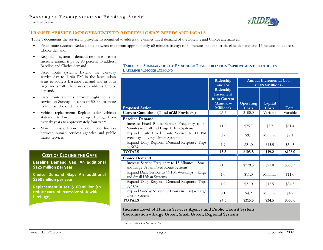

# **TRANSIT SERVICE IMPROVEMENTS TO ADDRESS IOWA'S NEEDS AND GOALS**

Table 1 documents the service improvements identified to address the unmet travel demand of the Baseline and Choice alternatives:

- •Fixed route systems: Reduce time between trips from approximately 60 minutes (today) to 30 minutes to support Baseline demand and 15 minutes to address Choice demand.
- • Regional system demand-response trips: Increase annual trips by 90 percent to address Baseline and Choice demand.
- • Fixed route systems: Extend the weekday service day to 11:00 PM in the large urban areas to address Baseline demand and in both large and small urban areas to address Choice demand.
- • Fixed route systems: Provide eight hours of service on Sundays in cities of 50,000 or more to address Choice demand.
- $\bullet$  Vehicle replacement: Replace older vehicles statewide to lower the average fleet age from over six years to approximately four years.
- $\bullet$  More transportation service coordination between human services agencies and public transit services.

## **COST OF CLOSING THE GAPS**

**Baseline Demand Gap: An additional \$125 million per year.**

**Choice Demand Gap: An additional \$350 million per year**

**Replacement Buses: \$100 million (to reduce current excessive statewide fleet age)**

**TABLE 1: SUMMARY OF THE PASSENGER TRANSPORTATION IMPROVEMENTS TO ADDRESS BASELINE/CHOICE DEMAND**

|                                                                                                                   | Ridership<br>and/or                                                                       | <b>Annual Incremental Cost</b><br>$(2009 \; \mathrm{\$Millions})$ |                                     |                   |
|-------------------------------------------------------------------------------------------------------------------|-------------------------------------------------------------------------------------------|-------------------------------------------------------------------|-------------------------------------|-------------------|
| <b>Proposed Action</b><br><b>Current Conditions (Total of 35 Providers)</b>                                       | Ridership<br><b>Increment</b><br>from Current<br>$(Annual -$<br><b>Millions</b> )<br>25.5 | <b>Operating</b><br>Costs<br>\$100.0                              | Capital<br><b>Costs</b><br>Variable | Total<br>Variable |
|                                                                                                                   |                                                                                           |                                                                   |                                     |                   |
| <b>Baseline Demand</b><br>Increase Fixed Route Service Frequency to 30<br>Minutes - Small and Large Urban Systems | 11.2                                                                                      | \$75.7                                                            | \$5.7                               | \$81.4            |
| Expand Daily Fixed Route Service to 11 PM<br>Weekdays - Large Urban Systems                                       | 0.7                                                                                       | \$9.1                                                             | Minimal                             | \$9.1             |
| Expand Daily Regional Demand-Response Trips<br>by $90\%$                                                          | 1.9                                                                                       | \$21.0                                                            | \$13.5                              | \$34.5            |
| <b>TOTALS</b>                                                                                                     | 13.8                                                                                      | \$105.8                                                           | \$19.2                              | \$125.0           |
| <b>Choice Demand</b>                                                                                              |                                                                                           |                                                                   |                                     |                   |
| Increase Service Frequency to 15 Minutes - Small<br>and Large Urban Fixed Route Systems                           | 21.3                                                                                      | \$279.3                                                           | \$21.0                              | \$300.3           |
| Expand Daily Service to 11 PM Weekdays - Large<br>and Small Urban Systems                                         | 1.0                                                                                       | \$11.0                                                            | Minimal                             | \$11.0            |
| Expand Daily Regional Demand-Response Trips<br>by $90\%$                                                          | 1.9                                                                                       | \$21.0                                                            | \$13.5                              | \$34.5            |
| Expand Sunday Service (8 Hours in Day) - Large<br>Urban Systems                                                   | 0.1                                                                                       | \$4.2                                                             | Minimal                             | \$4.2             |
| <b>TOTALS</b>                                                                                                     | 24.3                                                                                      | \$315.5                                                           | \$34.5                              | \$350.0           |

**Increase Level of Human Services Agency and Public Transit System Coordination – Large Urban, Small Urban, Regional Systems** 

*Source: URS Corporation, Inc*.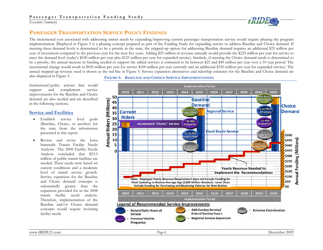

# **PASSENGER TRANSPORTATION SERVICE POLICY FINDINGS**

The incremental cost associated with addressing unmet needs by expanding/improving current passenger transportation service would require phasing the program implementation. Displayed in Figure 5 is a phasing concept prepared as part of the Funding Study for expanding service to address Baseline and Choice demand. If meeting these demand levels is determined to be a priority in the state, the stepped-up option for addressing Baseline demand requires an additional \$25 million per year of investment compared to the previous year for the next five years. Adding \$25 million in revenue annually would provide the \$225 million per year for service to meet the demand level (today's \$100 million per year plus \$125 million per year for expanded service). Similarly, if meeting the Choice demand needs is determined to be a priority, the annual increase in funding needed to support the added services is estimated to be between \$25 and \$40 million per year over a 10 year period. The incremental change would result in \$450 million per year for service \$100 million per year currently and an additional \$350 million per year for expanded service). The annual stepped-up revenue need is shown as the red line in Figure 5. Service expansion alternatives and ridership estimates for the Baseline and Choice demand are also displayed in Figure 5.

Institutional/policy actions that would support and complement service improvements for the Baseline and Choice demand are also needed and are described in the following sections.

#### **Service and Facilities**

- • Establish service level goals (Baseline, Choice, or another) for the state from the information presented in this report.
- • Review and revise the Iowa Statewide Transit Facility Needs Analysis: The 2008 Facility Needs Analysis concluded that \$53.3 million of public transit facilities are needed. These needs were based on current conditions and a moderate level of transit service growth. Service expansion for the Baseline and Choice demand concepts is substantially greater than the expansion provided for in the 2008 transit facility needs analysis. Therefore, implementation of the Baseline and/or Choice demand concepts would require revisiting facility needs.

**FIGURE 5: BASELINE AND CHOICE SERVICE IMPLEMENTATION**

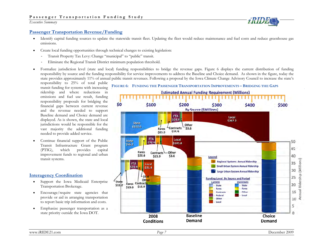

## **Passenger Transportation Revenue/Funding**

- • Identify capital funding sources to update the statewide transit fleet. Updating the fleet would reduce maintenance and fuel costs and reduce greenhouse gas emissions.
- • Create local funding opportunities through technical changes to existing legislation:
	- -Transit Property Tax Levy: Change "municipal" to "public" transit.
	- -Eliminate the Regional Transit District minimum population threshold.
- • Formalize jurisdiction level (state and local) funding responsibilities to bridge the revenue gaps. Figure 6 displays the current distribution of funding responsibility by source and the funding responsibility for service improvements to address the Baseline and Choice demand. As shown in the figure, today the state provides approximately 11% of annual public transit revenues. Following a proposal by the Iowa Climate Change Advisory Council to increase the state's

responsibility to 25% of total public transit funding for systems with increasing ridership and where reductions in emissions and fuel use result, funding responsibility proposals for bridging the financial gaps between current revenue and the revenue needed to support Baseline demand and Choice demand are displayed. As is shown, the state and local jurisdictions would be responsible for the vast majority the additional funding needed to provide added service.

• Continue financial support of the Public Transit Infrastructure Grant program (PTIG), which provides capital improvement funds to regional and urban transit systems.

## **Interagency Coordination**

- • Support the Iowa Medicaid Enterprise Transportation Brokerage.
- $\bullet$  Encourage/require state agencies that provide or aid in arranging transportation to report basic trip information and costs.
- $\bullet$  Emphasize passenger transportation as a state priority outside the Iowa DOT.

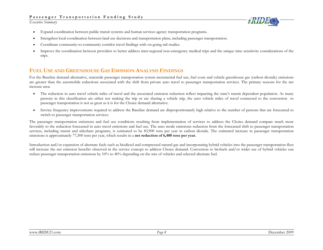*Executive Summary* 



- •Expand coordination between public transit systems and human services agency transportation programs.
- •Strengthen local coordination between land use decisions and transportation plans, including passenger transportation.
- •Coordinate community-to-community corridor travel findings with on-going rail studies.
- • Improve the coordination between providers to better address inter-regional non-emergency medical trips and the unique time sensitivity considerations of the trips.

# **FUEL USE AND GREENHOUSE GAS EMISSION ANALYSIS FINDINGS**

For the Baseline demand alternative, statewide passenger transportation system incremental fuel use, fuel costs and vehicle greenhouse gas (carbon dioxide) emissions are greater than the automobile reductions associated with the shift from private auto travel to passenger transportation services. The primary reasons for the net increase area:

- • The reduction in auto travel vehicle miles of travel and the associated emission reduction reflect impacting the state's transit dependent population. As many persons in this classification are either not making the trip or are sharing a vehicle trip, the auto vehicle miles of travel connected to the conversion to passenger transportation is not as great as it is for the Choice demand alternative.
- • Service frequency improvements required to address the Baseline demand are disproportionately high relative to the number of persons that are forecasted to switch to passenger transportation services.

The passenger transportation emissions and fuel use conditions resulting from implementation of services to address the Choice demand compare much more favorably to the reduction forecasted in auto travel emissions and fuel use. The auto mode emissions reduction from the forecasted shift to passenger transportation services, including transit and rideshare programs, is estimated to be 83,900 tons per year in carbon dioxide. The estimated increase in passenger transportation emissions is approximately 77,500 tons per year, which results in a **net reduction of 6,400 tons per year.** 

Introduction and/or expansion of alternate fuels such as biodiesel and compressed natural gas and incorporating hybrid vehicles into the passenger transportation fleet will increase the net emission benefits observed in the service concept to address Choice demand. Conversion to biofuels and/or wider use of hybrid vehicles can reduce passenger transportation emissions by 10% to 40% depending on the mix of vehicles and selected alternate fuel.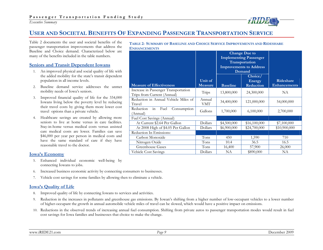# **USER AND SOCIETAL BENEFITS OF EXPANDING PASSENGER TRANSPORTATION SERVICE**

Table 2 documents the user and societal benefits of the passenger transportation improvements that address the Baseline and Choice demand. Characterized below are many of the benefits included in the table numbers.

#### **Seniors and Transit Dependent Iowans**

- 1. An improved physical and social quality of life with the added mobility for the state's transit dependent population in all income levels.
- 2. Baseline demand service addresses the unmet mobility needs of Iowa's seniors.
- 3. Improved financial quality of life for the 334,000 Iowans living below the poverty level by reducing their travel costs by giving them more lower cost travel options than a private vehicle.
- 4. Healthcare savings are created by allowing more seniors to live at home versus in care facilities. Stay-in-home versus medical costs versus assisted care medical costs are lower. Families can save \$46,000 per year per person in medical costs and have the same standard of care if they have reasonable travel to the doctor.

## **Iowa's Economy**

- 5. Enhanced individual economic well-being by connecting Iowans to jobs.
- 6. Increased business economic activity by connecting consumers to businesses.
- 7.Vehicle cost savings for some families by allowing then to eliminate a vehicle.

#### **Iowa's Quality of Life**

- 8. Improved quality of life by connecting Iowans to services and activities.
- 9. Reduction in the increases in pollutants and greenhouse gas emissions. By Iowan's shifting from a higher number of low-occupant vehicles to a lower number of higher-occupant the growth in annual automobile vehicle miles of travel can be slowed, which would have a positive impact on emissions.
- 10. Reductions in the observed trends of increasing annual fuel consumption. Shifting from private autos to passenger transportation modes would result in fuel cost savings for Iowa families and businesses that choice to make the change.

**TABLE 2: SUMMARY OF BASELINE AND CHOICE SERVICE IMPROVEMENTS AND RIDESHARE ENHANCEMENTS**

|                                                                     |                           | <b>Change Due to</b><br><b>Implementing Passenger</b><br>Transportation<br><b>Improvements to Address</b><br>Demand |                                |                                  |
|---------------------------------------------------------------------|---------------------------|---------------------------------------------------------------------------------------------------------------------|--------------------------------|----------------------------------|
| <b>Measure of Effectiveness</b>                                     | Unit of<br><b>Measure</b> | <b>Baseline</b>                                                                                                     | Choice/<br>Energy<br>Reduction | Rideshare<br><b>Enhancements</b> |
| Increase in Passenger Transportation<br>Trips from Current (Annual) | Trips                     | 13,800,000                                                                                                          | 24,300,000                     | NA                               |
| Reduction in Annual Vehicle Miles of<br>Travel                      | Annual<br>VMT             | 34,400,000                                                                                                          | 121,000,000                    | 54,000,000                       |
| Reduction<br>in<br>Fuel<br>Consumption<br>(Annual)                  | Gallons                   | 1,700,000                                                                                                           | 6,100,000                      | 2,700,000                        |
| Fuel Cost Savings (Annual)                                          |                           |                                                                                                                     |                                |                                  |
| At Current \$2.64 Per Gallon                                        | Dollars                   | \$4,500,000                                                                                                         | \$16,100,000                   | \$7,100,000                      |
| At 2008 High of \$4.05 Per Gallon                                   | Dollars                   | \$6,900,000                                                                                                         | \$24,700,000                   | \$10,900,000                     |
| Reduction In Emissions:                                             |                           |                                                                                                                     |                                |                                  |
| Carbon Monoxide                                                     | Tons                      | 450                                                                                                                 | 1,590                          | 710                              |
| Nitrogen Oxide                                                      | Tons                      | 10.4                                                                                                                | 36.5                           | 16.5                             |
| <b>Greenhouse Gases</b>                                             | Tons                      | 16,400                                                                                                              | 57,900                         | 26,000                           |
| Vehicle Cost Savings                                                | Dollars                   | <b>NA</b>                                                                                                           | \$890,000                      | NA                               |